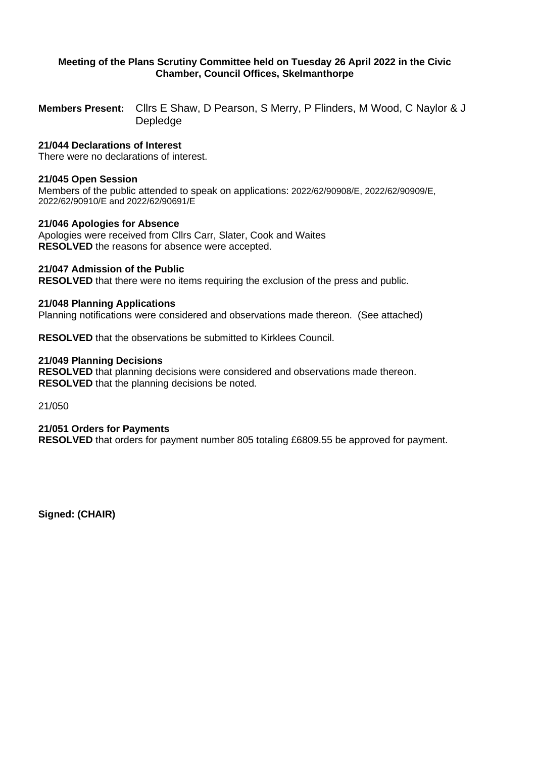# **Meeting of the Plans Scrutiny Committee held on Tuesday 26 April 2022 in the Civic Chamber, Council Offices, Skelmanthorpe**

**Members Present:** Cllrs E Shaw, D Pearson, S Merry, P Flinders, M Wood, C Naylor & J Depledge

# **21/044 Declarations of Interest**

There were no declarations of interest.

#### **21/045 Open Session**

Members of the public attended to speak on applications: 2022/62/90908/E, 2022/62/90909/E, 2022/62/90910/E and 2022/62/90691/E

#### **21/046 Apologies for Absence**

Apologies were received from Cllrs Carr, Slater, Cook and Waites **RESOLVED** the reasons for absence were accepted.

### **21/047 Admission of the Public**

**RESOLVED** that there were no items requiring the exclusion of the press and public.

### **21/048 Planning Applications**

Planning notifications were considered and observations made thereon. (See attached)

**RESOLVED** that the observations be submitted to Kirklees Council.

### **21/049 Planning Decisions**

**RESOLVED** that planning decisions were considered and observations made thereon. **RESOLVED** that the planning decisions be noted.

21/050

#### **21/051 Orders for Payments**

**RESOLVED** that orders for payment number 805 totaling £6809.55 be approved for payment.

**Signed: (CHAIR)**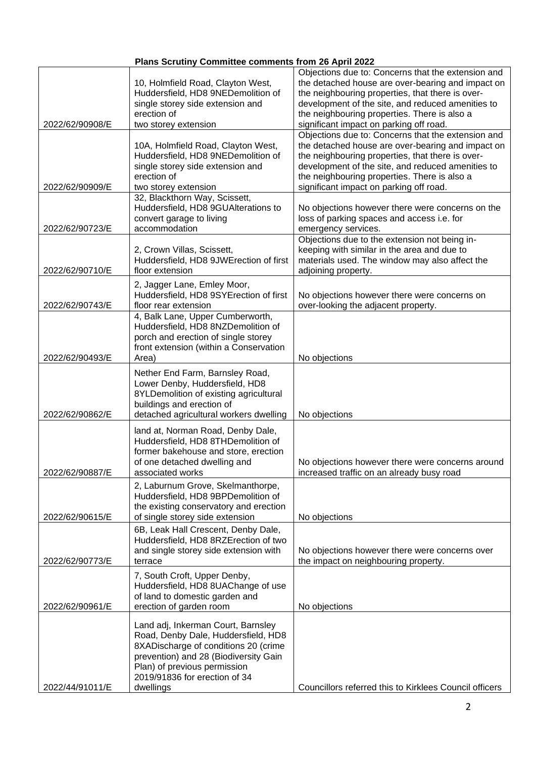| Plans Scrutiny Committee comments from 26 April 2022 |
|------------------------------------------------------|
|------------------------------------------------------|

|                 |                                                                       | Objections due to: Concerns that the extension and     |
|-----------------|-----------------------------------------------------------------------|--------------------------------------------------------|
|                 | 10, Holmfield Road, Clayton West,                                     | the detached house are over-bearing and impact on      |
|                 | Huddersfield, HD8 9NEDemolition of                                    | the neighbouring properties, that there is over-       |
|                 | single storey side extension and                                      | development of the site, and reduced amenities to      |
|                 | erection of                                                           | the neighbouring properties. There is also a           |
| 2022/62/90908/E | two storey extension                                                  | significant impact on parking off road.                |
|                 |                                                                       | Objections due to: Concerns that the extension and     |
|                 | 10A, Holmfield Road, Clayton West,                                    | the detached house are over-bearing and impact on      |
|                 | Huddersfield, HD8 9NEDemolition of                                    | the neighbouring properties, that there is over-       |
|                 | single storey side extension and                                      | development of the site, and reduced amenities to      |
|                 | erection of                                                           | the neighbouring properties. There is also a           |
| 2022/62/90909/E | two storey extension                                                  | significant impact on parking off road.                |
|                 | 32, Blackthorn Way, Scissett,                                         |                                                        |
|                 | Huddersfield, HD8 9GUAlterations to                                   | No objections however there were concerns on the       |
|                 | convert garage to living                                              | loss of parking spaces and access i.e. for             |
| 2022/62/90723/E | accommodation                                                         | emergency services.                                    |
|                 |                                                                       | Objections due to the extension not being in-          |
|                 | 2, Crown Villas, Scissett,                                            | keeping with similar in the area and due to            |
|                 | Huddersfield, HD8 9JWErection of first                                | materials used. The window may also affect the         |
| 2022/62/90710/E | floor extension                                                       | adjoining property.                                    |
|                 |                                                                       |                                                        |
|                 | 2, Jagger Lane, Emley Moor,<br>Huddersfield, HD8 9SYErection of first | No objections however there were concerns on           |
| 2022/62/90743/E | floor rear extension                                                  | over-looking the adjacent property.                    |
|                 | 4, Balk Lane, Upper Cumberworth,                                      |                                                        |
|                 | Huddersfield, HD8 8NZDemolition of                                    |                                                        |
|                 | porch and erection of single storey                                   |                                                        |
|                 | front extension (within a Conservation                                |                                                        |
| 2022/62/90493/E | Area)                                                                 | No objections                                          |
|                 |                                                                       |                                                        |
|                 | Nether End Farm, Barnsley Road,                                       |                                                        |
|                 | Lower Denby, Huddersfield, HD8                                        |                                                        |
|                 | 8YLDemolition of existing agricultural                                |                                                        |
|                 | buildings and erection of                                             |                                                        |
| 2022/62/90862/E | detached agricultural workers dwelling                                | No objections                                          |
|                 | land at, Norman Road, Denby Dale,                                     |                                                        |
|                 | Huddersfield, HD8 8THDemolition of                                    |                                                        |
|                 | former bakehouse and store, erection                                  |                                                        |
|                 | of one detached dwelling and                                          | No objections however there were concerns around       |
| 2022/62/90887/E | associated works                                                      | increased traffic on an already busy road              |
|                 | 2, Laburnum Grove, Skelmanthorpe,                                     |                                                        |
|                 | Huddersfield, HD8 9BPDemolition of                                    |                                                        |
|                 | the existing conservatory and erection                                |                                                        |
| 2022/62/90615/E | of single storey side extension                                       | No objections                                          |
|                 |                                                                       |                                                        |
|                 | 6B, Leak Hall Crescent, Denby Dale,                                   |                                                        |
|                 | Huddersfield, HD8 8RZErection of two                                  |                                                        |
|                 | and single storey side extension with                                 | No objections however there were concerns over         |
| 2022/62/90773/E | terrace                                                               | the impact on neighbouring property.                   |
|                 | 7, South Croft, Upper Denby,                                          |                                                        |
|                 | Huddersfield, HD8 8UAChange of use                                    |                                                        |
|                 | of land to domestic garden and                                        |                                                        |
| 2022/62/90961/E | erection of garden room                                               | No objections                                          |
|                 |                                                                       |                                                        |
|                 | Land adj, Inkerman Court, Barnsley                                    |                                                        |
|                 | Road, Denby Dale, Huddersfield, HD8                                   |                                                        |
|                 | 8XADischarge of conditions 20 (crime                                  |                                                        |
|                 | prevention) and 28 (Biodiversity Gain                                 |                                                        |
|                 | Plan) of previous permission                                          |                                                        |
|                 | 2019/91836 for erection of 34                                         |                                                        |
| 2022/44/91011/E | dwellings                                                             | Councillors referred this to Kirklees Council officers |